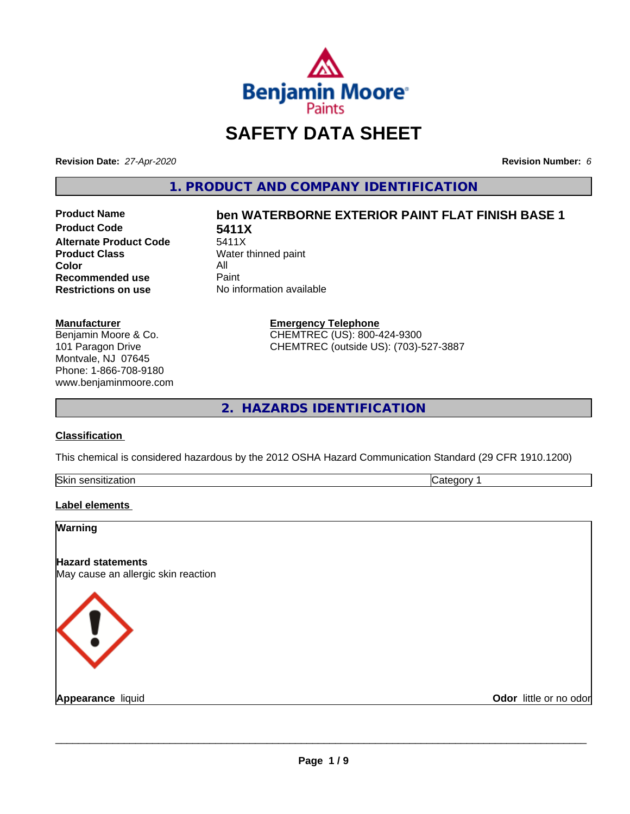

## **SAFETY DATA SHEET**

**Revision Date:** *27-Apr-2020* **Revision Number:** *6*

**1. PRODUCT AND COMPANY IDENTIFICATION**

**Product Code 5411X**<br>Alternate Product Code 5411X **Alternate Product Code**<br>Product Class **Color** All<br> **Recommended use** Paint **Recommended use**<br>Restrictions on use

# **Product Name ben WATERBORNE EXTERIOR PAINT FLAT FINISH BASE 1**

**Water thinned paint No information available** 

> **Emergency Telephone** CHEMTREC (US): 800-424-9300 CHEMTREC (outside US): (703)-527-3887

**2. HAZARDS IDENTIFICATION**

#### **Classification**

**Manufacturer**

Benjamin Moore & Co. 101 Paragon Drive Montvale, NJ 07645 Phone: 1-866-708-9180 www.benjaminmoore.com

This chemical is considered hazardous by the 2012 OSHA Hazard Communication Standard (29 CFR 1910.1200)

| Skin<br>. <i>.</i><br>auvr.<br> | ־ |
|---------------------------------|---|

#### **Label elements**

| <b>Warning</b>                                                  |                        |
|-----------------------------------------------------------------|------------------------|
| <b>Hazard statements</b><br>May cause an allergic skin reaction |                        |
|                                                                 |                        |
| ₹!                                                              |                        |
| <b>Appearance liquid</b>                                        | Odor little or no odor |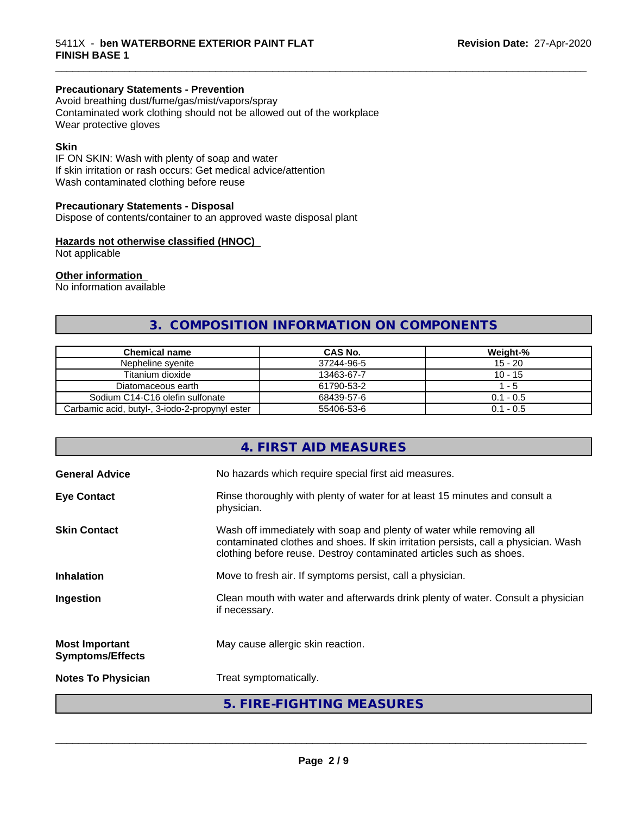#### **Precautionary Statements - Prevention**

Avoid breathing dust/fume/gas/mist/vapors/spray Contaminated work clothing should not be allowed out of the workplace Wear protective gloves

#### **Skin**

IF ON SKIN: Wash with plenty of soap and water If skin irritation or rash occurs: Get medical advice/attention Wash contaminated clothing before reuse

#### **Precautionary Statements - Disposal**

Dispose of contents/container to an approved waste disposal plant

#### **Hazards not otherwise classified (HNOC)**

Not applicable

#### **Other information**

No information available

### **3. COMPOSITION INFORMATION ON COMPONENTS**

\_\_\_\_\_\_\_\_\_\_\_\_\_\_\_\_\_\_\_\_\_\_\_\_\_\_\_\_\_\_\_\_\_\_\_\_\_\_\_\_\_\_\_\_\_\_\_\_\_\_\_\_\_\_\_\_\_\_\_\_\_\_\_\_\_\_\_\_\_\_\_\_\_\_\_\_\_\_\_\_\_\_\_\_\_\_\_\_\_\_\_\_\_

| <b>Chemical name</b>                           | CAS No.    | Weight-%    |
|------------------------------------------------|------------|-------------|
| Nepheline svenite                              | 37244-96-5 | $15 - 20$   |
| Titanium dioxide                               | 13463-67-7 | $10 - 15$   |
| Diatomaceous earth                             | 61790-53-2 | - 5         |
| Sodium C14-C16 olefin sulfonate                | 68439-57-6 | $0.1 - 0.5$ |
| Carbamic acid, butyl-, 3-iodo-2-propynyl ester | 55406-53-6 | $0.1 - 0.5$ |

|                                                  | 4. FIRST AID MEASURES                                                                                                                                                                                                               |
|--------------------------------------------------|-------------------------------------------------------------------------------------------------------------------------------------------------------------------------------------------------------------------------------------|
| <b>General Advice</b>                            | No hazards which require special first aid measures.                                                                                                                                                                                |
| <b>Eye Contact</b>                               | Rinse thoroughly with plenty of water for at least 15 minutes and consult a<br>physician.                                                                                                                                           |
| <b>Skin Contact</b>                              | Wash off immediately with soap and plenty of water while removing all<br>contaminated clothes and shoes. If skin irritation persists, call a physician. Wash<br>clothing before reuse. Destroy contaminated articles such as shoes. |
| <b>Inhalation</b>                                | Move to fresh air. If symptoms persist, call a physician.                                                                                                                                                                           |
| Ingestion                                        | Clean mouth with water and afterwards drink plenty of water. Consult a physician<br>if necessary.                                                                                                                                   |
| <b>Most Important</b><br><b>Symptoms/Effects</b> | May cause allergic skin reaction.                                                                                                                                                                                                   |
| <b>Notes To Physician</b>                        | Treat symptomatically.                                                                                                                                                                                                              |
|                                                  | 5. FIRE-FIGHTING MEASURES                                                                                                                                                                                                           |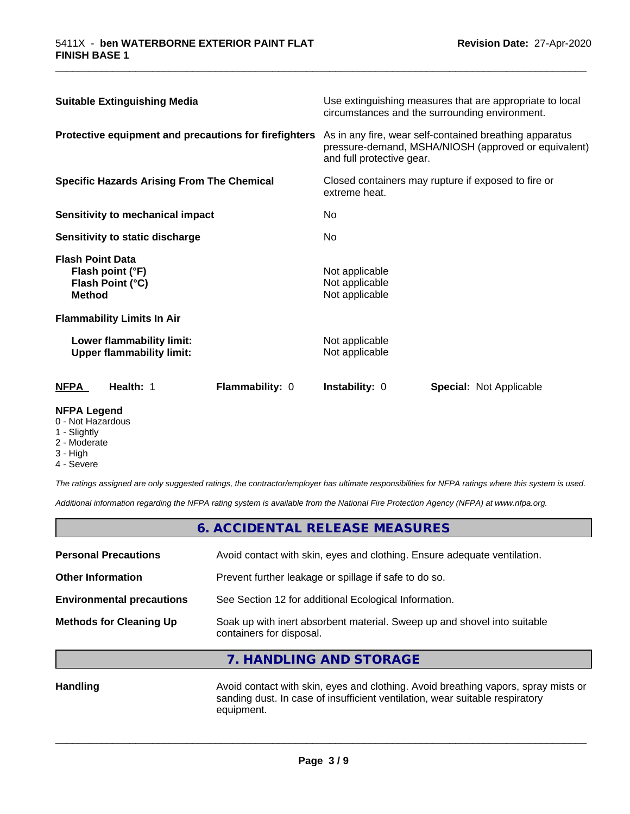| <b>Suitable Extinguishing Media</b><br>Protective equipment and precautions for firefighters<br><b>Specific Hazards Arising From The Chemical</b><br>Sensitivity to mechanical impact<br>Sensitivity to static discharge |  | Use extinguishing measures that are appropriate to local<br>circumstances and the surrounding environment.<br>As in any fire, wear self-contained breathing apparatus<br>pressure-demand, MSHA/NIOSH (approved or equivalent)<br>and full protective gear.<br>Closed containers may rupture if exposed to fire or<br>extreme heat.<br>No.<br>No. |  |                                          |                                                               |                        |                                                    |                                |
|--------------------------------------------------------------------------------------------------------------------------------------------------------------------------------------------------------------------------|--|--------------------------------------------------------------------------------------------------------------------------------------------------------------------------------------------------------------------------------------------------------------------------------------------------------------------------------------------------|--|------------------------------------------|---------------------------------------------------------------|------------------------|----------------------------------------------------|--------------------------------|
|                                                                                                                                                                                                                          |  |                                                                                                                                                                                                                                                                                                                                                  |  | <b>Flash Point Data</b><br><b>Method</b> | Flash point (°F)<br>Flash Point (°C)                          |                        | Not applicable<br>Not applicable<br>Not applicable |                                |
|                                                                                                                                                                                                                          |  |                                                                                                                                                                                                                                                                                                                                                  |  |                                          | <b>Flammability Limits In Air</b>                             |                        |                                                    |                                |
|                                                                                                                                                                                                                          |  |                                                                                                                                                                                                                                                                                                                                                  |  |                                          | Lower flammability limit:<br><b>Upper flammability limit:</b> |                        | Not applicable<br>Not applicable                   |                                |
|                                                                                                                                                                                                                          |  |                                                                                                                                                                                                                                                                                                                                                  |  | <b>NFPA</b>                              | Health: 1                                                     | <b>Flammability: 0</b> | Instability: 0                                     | <b>Special:</b> Not Applicable |

\_\_\_\_\_\_\_\_\_\_\_\_\_\_\_\_\_\_\_\_\_\_\_\_\_\_\_\_\_\_\_\_\_\_\_\_\_\_\_\_\_\_\_\_\_\_\_\_\_\_\_\_\_\_\_\_\_\_\_\_\_\_\_\_\_\_\_\_\_\_\_\_\_\_\_\_\_\_\_\_\_\_\_\_\_\_\_\_\_\_\_\_\_

#### **NFPA Legend**

- 0 Not Hazardous
- 1 Slightly
- 2 Moderate
- 3 High
- 4 Severe

*The ratings assigned are only suggested ratings, the contractor/employer has ultimate responsibilities for NFPA ratings where this system is used.*

*Additional information regarding the NFPA rating system is available from the National Fire Protection Agency (NFPA) at www.nfpa.org.*

|                                  | 6. ACCIDENTAL RELEASE MEASURES                                                                       |  |
|----------------------------------|------------------------------------------------------------------------------------------------------|--|
| <b>Personal Precautions</b>      | Avoid contact with skin, eyes and clothing. Ensure adequate ventilation.                             |  |
| <b>Other Information</b>         | Prevent further leakage or spillage if safe to do so.                                                |  |
| <b>Environmental precautions</b> | See Section 12 for additional Ecological Information.                                                |  |
| <b>Methods for Cleaning Up</b>   | Soak up with inert absorbent material. Sweep up and shovel into suitable<br>containers for disposal. |  |

**7. HANDLING AND STORAGE**

Handling **Handling Avoid contact with skin, eyes and clothing. Avoid breathing vapors, spray mists or** sanding dust. In case of insufficient ventilation, wear suitable respiratory equipment.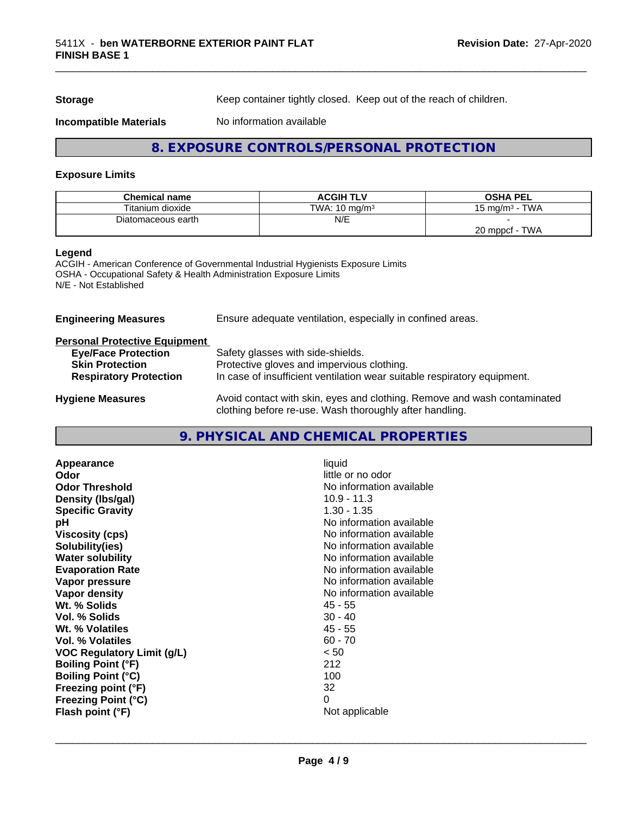**Storage** Keep container tightly closed. Keep out of the reach of children.

**Incompatible Materials** No information available

#### **8. EXPOSURE CONTROLS/PERSONAL PROTECTION**

\_\_\_\_\_\_\_\_\_\_\_\_\_\_\_\_\_\_\_\_\_\_\_\_\_\_\_\_\_\_\_\_\_\_\_\_\_\_\_\_\_\_\_\_\_\_\_\_\_\_\_\_\_\_\_\_\_\_\_\_\_\_\_\_\_\_\_\_\_\_\_\_\_\_\_\_\_\_\_\_\_\_\_\_\_\_\_\_\_\_\_\_\_

#### **Exposure Limits**

| <b>Chemical name</b> | <b>ACGIH TLV</b>         | <b>OSHA PEL</b>             |
|----------------------|--------------------------|-----------------------------|
| Titanium dioxide     | TWA: $10 \text{ mg/m}^3$ | <b>TWA</b><br>, ma/m $^3\,$ |
| Diatomaceous earth   | N/E                      |                             |
|                      |                          | TWA<br>20 mppcf             |

#### **Legend**

ACGIH - American Conference of Governmental Industrial Hygienists Exposure Limits OSHA - Occupational Safety & Health Administration Exposure Limits N/E - Not Established

| Ensure adequate ventilation, especially in confined areas.                                                                          |  |
|-------------------------------------------------------------------------------------------------------------------------------------|--|
|                                                                                                                                     |  |
| Safety glasses with side-shields.                                                                                                   |  |
| Protective gloves and impervious clothing.                                                                                          |  |
| In case of insufficient ventilation wear suitable respiratory equipment.                                                            |  |
| Avoid contact with skin, eyes and clothing. Remove and wash contaminated<br>clothing before re-use. Wash thoroughly after handling. |  |
|                                                                                                                                     |  |

#### **9. PHYSICAL AND CHEMICAL PROPERTIES**

| liquid<br>little or no odor<br>No information available<br>$10.9 - 11.3$<br>$1.30 - 1.35$<br>No information available<br>No information available<br>No information available<br>No information available<br>No information available<br>No information available<br>No information available<br>$45 - 55$<br>$30 - 40$<br>$45 - 55$<br>$60 - 70$<br>< 50<br>212<br>100<br>32 |
|-------------------------------------------------------------------------------------------------------------------------------------------------------------------------------------------------------------------------------------------------------------------------------------------------------------------------------------------------------------------------------|
| 0<br>Not applicable                                                                                                                                                                                                                                                                                                                                                           |
|                                                                                                                                                                                                                                                                                                                                                                               |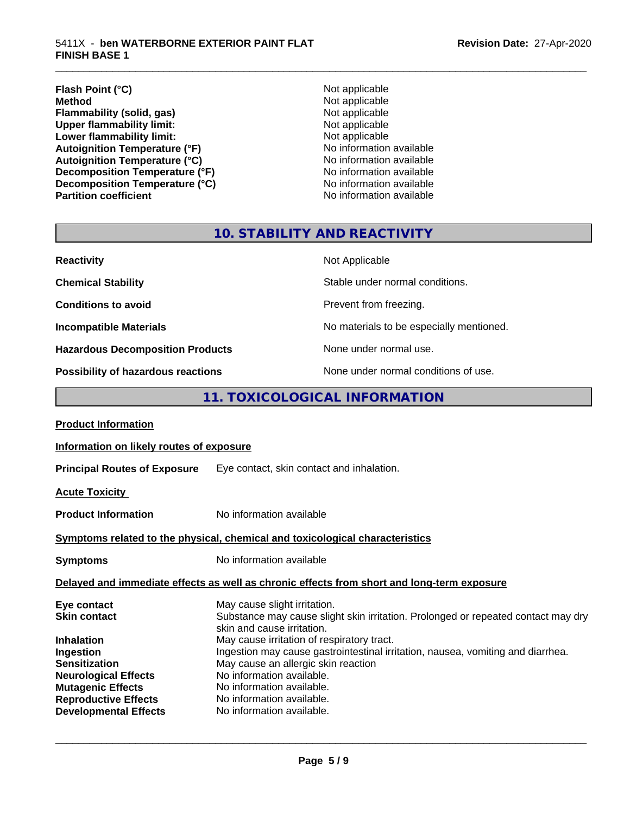#### **Flash Point (°C)**<br> **Method** Not applicable<br>
Not applicable<br>
Not applicable **Flammability (solid, gas)**<br> **Commability limit:**<br>
Upper flammability limit:<br>
Not applicable **Upper flammability limit:**<br> **Lower flammability limit:**<br>
Not applicable<br>
Not applicable **Lower flammability limit:**<br> **Autoignition Temperature (°F)**<br>
Mo information available Autoignition Temperature (°F)<br>
Autoignition Temperature (°C)<br>
No information available Autoignition **Temperature** (°C) Mo information available<br>Decomposition **Temperature** (°F) No information available **Decomposition Temperature (°F)** No information available<br> **Decomposition Temperature (°C)** No information available **Decomposition Temperature (°C) Partition coefficient Contract Contract Contract Contract Contract Contract Contract Contract Contract Contract Contract Contract Contract Contract Contract Contract Contract Contract Contract Contract Contract Contract**

**Not applicable**<br>**Not applicable** 

\_\_\_\_\_\_\_\_\_\_\_\_\_\_\_\_\_\_\_\_\_\_\_\_\_\_\_\_\_\_\_\_\_\_\_\_\_\_\_\_\_\_\_\_\_\_\_\_\_\_\_\_\_\_\_\_\_\_\_\_\_\_\_\_\_\_\_\_\_\_\_\_\_\_\_\_\_\_\_\_\_\_\_\_\_\_\_\_\_\_\_\_\_

## **10. STABILITY AND REACTIVITY**

| <b>Reactivity</b>                       | Not Applicable                           |
|-----------------------------------------|------------------------------------------|
| <b>Chemical Stability</b>               | Stable under normal conditions.          |
| <b>Conditions to avoid</b>              | Prevent from freezing.                   |
| <b>Incompatible Materials</b>           | No materials to be especially mentioned. |
| <b>Hazardous Decomposition Products</b> | None under normal use.                   |
| Possibility of hazardous reactions      | None under normal conditions of use.     |

#### **11. TOXICOLOGICAL INFORMATION**

| <b>Product Information</b>                                                                                                                                                                                             |                                                                                                                                                                                                                                                                                                                                                                                                                                             |
|------------------------------------------------------------------------------------------------------------------------------------------------------------------------------------------------------------------------|---------------------------------------------------------------------------------------------------------------------------------------------------------------------------------------------------------------------------------------------------------------------------------------------------------------------------------------------------------------------------------------------------------------------------------------------|
| Information on likely routes of exposure                                                                                                                                                                               |                                                                                                                                                                                                                                                                                                                                                                                                                                             |
|                                                                                                                                                                                                                        | <b>Principal Routes of Exposure</b> Eye contact, skin contact and inhalation.                                                                                                                                                                                                                                                                                                                                                               |
| <b>Acute Toxicity</b>                                                                                                                                                                                                  |                                                                                                                                                                                                                                                                                                                                                                                                                                             |
| <b>Product Information</b>                                                                                                                                                                                             | No information available                                                                                                                                                                                                                                                                                                                                                                                                                    |
|                                                                                                                                                                                                                        | Symptoms related to the physical, chemical and toxicological characteristics                                                                                                                                                                                                                                                                                                                                                                |
| <b>Symptoms</b>                                                                                                                                                                                                        | No information available                                                                                                                                                                                                                                                                                                                                                                                                                    |
|                                                                                                                                                                                                                        | Delayed and immediate effects as well as chronic effects from short and long-term exposure                                                                                                                                                                                                                                                                                                                                                  |
| Eye contact<br><b>Skin contact</b><br><b>Inhalation</b><br>Ingestion<br><b>Sensitization</b><br><b>Neurological Effects</b><br><b>Mutagenic Effects</b><br><b>Reproductive Effects</b><br><b>Developmental Effects</b> | May cause slight irritation.<br>Substance may cause slight skin irritation. Prolonged or repeated contact may dry<br>skin and cause irritation.<br>May cause irritation of respiratory tract.<br>Ingestion may cause gastrointestinal irritation, nausea, vomiting and diarrhea.<br>May cause an allergic skin reaction<br>No information available.<br>No information available.<br>No information available.<br>No information available. |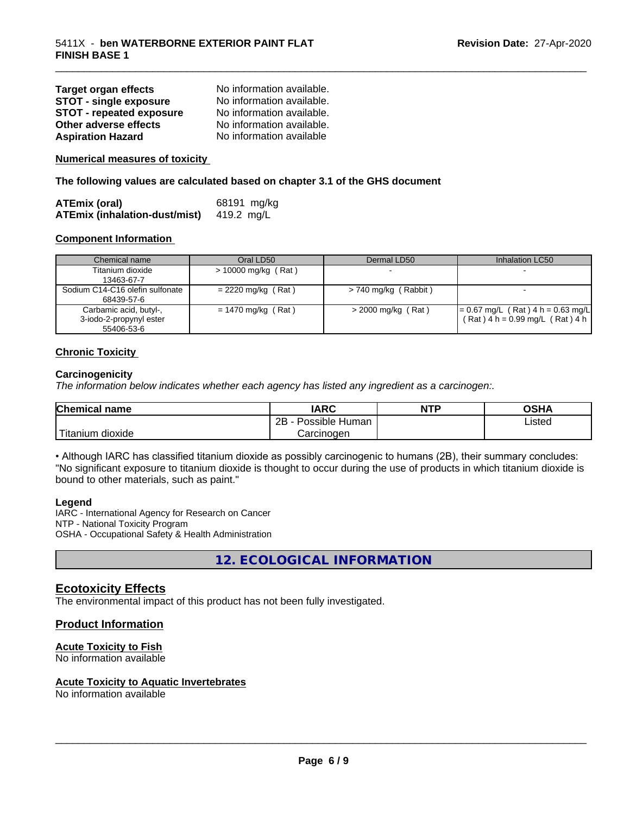| <b>Target organ effects</b>     | No information available. |
|---------------------------------|---------------------------|
| <b>STOT - single exposure</b>   | No information available. |
| <b>STOT - repeated exposure</b> | No information available. |
| Other adverse effects           | No information available. |
| <b>Aspiration Hazard</b>        | No information available  |

**Numerical measures of toxicity**

**The following values are calculated based on chapter 3.1 of the GHS document**

| ATEmix (oral)                        | 68191 mg/kg |
|--------------------------------------|-------------|
| <b>ATEmix (inhalation-dust/mist)</b> | 419.2 mg/L  |

#### **Component Information**

| Chemical name                                                   | Oral LD50             | Dermal LD50            | Inhalation LC50                                                            |
|-----------------------------------------------------------------|-----------------------|------------------------|----------------------------------------------------------------------------|
| Titanium dioxide<br>13463-67-7                                  | $> 10000$ mg/kg (Rat) | $\sim$                 |                                                                            |
| Sodium C14-C16 olefin sulfonate<br>68439-57-6                   | $= 2220$ mg/kg (Rat)  | $> 740$ mg/kg (Rabbit) |                                                                            |
| Carbamic acid, butyl-,<br>3-iodo-2-propynyl ester<br>55406-53-6 | $= 1470$ mg/kg (Rat)  | $>$ 2000 mg/kg (Rat)   | $= 0.67$ mg/L (Rat) 4 h = 0.63 mg/L<br>$(Rat)$ 4 h = 0.99 mg/L $(Rat)$ 4 h |

\_\_\_\_\_\_\_\_\_\_\_\_\_\_\_\_\_\_\_\_\_\_\_\_\_\_\_\_\_\_\_\_\_\_\_\_\_\_\_\_\_\_\_\_\_\_\_\_\_\_\_\_\_\_\_\_\_\_\_\_\_\_\_\_\_\_\_\_\_\_\_\_\_\_\_\_\_\_\_\_\_\_\_\_\_\_\_\_\_\_\_\_\_

#### **Chronic Toxicity**

#### **Carcinogenicity**

*The information below indicateswhether each agency has listed any ingredient as a carcinogen:.*

| <b>Chemical</b><br>name        | <b>IARC</b>                    | <b>NTP</b> | <b>OCUA</b><br>שטש |
|--------------------------------|--------------------------------|------------|--------------------|
|                                | . .<br>2B<br>Human<br>Possible |            | Listed<br>____     |
| .<br>dioxide<br><b>itanium</b> | Carcinogen                     |            |                    |

• Although IARC has classified titanium dioxide as possibly carcinogenic to humans (2B), their summary concludes: "No significant exposure to titanium dioxide is thought to occur during the use of products in which titanium dioxide is bound to other materials, such as paint."

#### **Legend**

IARC - International Agency for Research on Cancer NTP - National Toxicity Program OSHA - Occupational Safety & Health Administration

**12. ECOLOGICAL INFORMATION**

#### **Ecotoxicity Effects**

The environmental impact of this product has not been fully investigated.

#### **Product Information**

#### **Acute Toxicity to Fish**

No information available

#### **Acute Toxicity to Aquatic Invertebrates**

No information available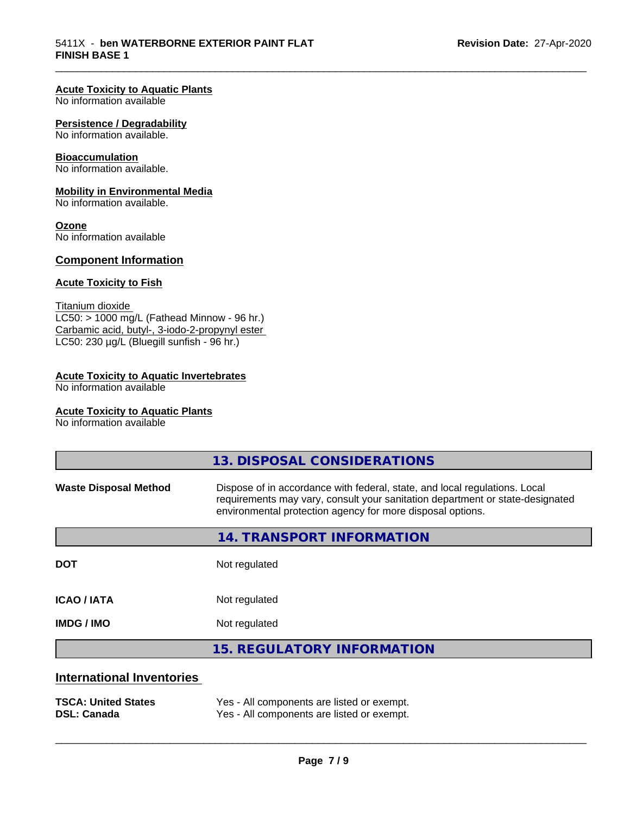\_\_\_\_\_\_\_\_\_\_\_\_\_\_\_\_\_\_\_\_\_\_\_\_\_\_\_\_\_\_\_\_\_\_\_\_\_\_\_\_\_\_\_\_\_\_\_\_\_\_\_\_\_\_\_\_\_\_\_\_\_\_\_\_\_\_\_\_\_\_\_\_\_\_\_\_\_\_\_\_\_\_\_\_\_\_\_\_\_\_\_\_\_

#### **Acute Toxicity to Aquatic Plants**

No information available

#### **Persistence / Degradability**

No information available.

#### **Bioaccumulation**

No information available.

#### **Mobility in Environmental Media**

No information available.

#### **Ozone**

No information available

#### **Component Information**

#### **Acute Toxicity to Fish**

Titanium dioxide  $LC50:$  > 1000 mg/L (Fathead Minnow - 96 hr.) Carbamic acid, butyl-, 3-iodo-2-propynyl ester LC50: 230 µg/L (Bluegill sunfish - 96 hr.)

#### **Acute Toxicity to Aquatic Invertebrates**

No information available

#### **Acute Toxicity to Aquatic Plants**

No information available

|                                  | 13. DISPOSAL CONSIDERATIONS                                                                                                                                                                                               |
|----------------------------------|---------------------------------------------------------------------------------------------------------------------------------------------------------------------------------------------------------------------------|
| <b>Waste Disposal Method</b>     | Dispose of in accordance with federal, state, and local regulations. Local<br>requirements may vary, consult your sanitation department or state-designated<br>environmental protection agency for more disposal options. |
|                                  | 14. TRANSPORT INFORMATION                                                                                                                                                                                                 |
| <b>DOT</b>                       | Not regulated                                                                                                                                                                                                             |
| <b>ICAO/IATA</b>                 | Not regulated                                                                                                                                                                                                             |
| <b>IMDG / IMO</b>                | Not regulated                                                                                                                                                                                                             |
|                                  | <b>15. REGULATORY INFORMATION</b>                                                                                                                                                                                         |
| <b>International Inventories</b> |                                                                                                                                                                                                                           |
|                                  |                                                                                                                                                                                                                           |

**TSCA: United States** Yes - All components are listed or exempt. **DSL: Canada** Yes - All components are listed or exempt.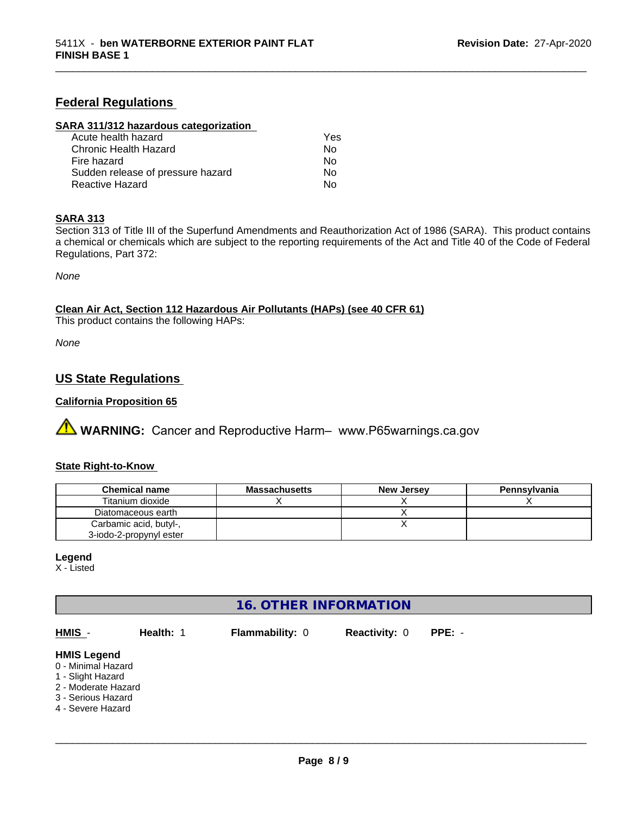#### **Federal Regulations**

#### **SARA 311/312 hazardous categorization**

| Acute health hazard               | Yes |
|-----------------------------------|-----|
| Chronic Health Hazard             | Nο  |
| Fire hazard                       | Nο  |
| Sudden release of pressure hazard | Nο  |
| Reactive Hazard                   | N٥  |

#### **SARA 313**

Section 313 of Title III of the Superfund Amendments and Reauthorization Act of 1986 (SARA). This product contains a chemical or chemicals which are subject to the reporting requirements of the Act and Title 40 of the Code of Federal Regulations, Part 372:

\_\_\_\_\_\_\_\_\_\_\_\_\_\_\_\_\_\_\_\_\_\_\_\_\_\_\_\_\_\_\_\_\_\_\_\_\_\_\_\_\_\_\_\_\_\_\_\_\_\_\_\_\_\_\_\_\_\_\_\_\_\_\_\_\_\_\_\_\_\_\_\_\_\_\_\_\_\_\_\_\_\_\_\_\_\_\_\_\_\_\_\_\_

*None*

**Clean Air Act,Section 112 Hazardous Air Pollutants (HAPs) (see 40 CFR 61)**

This product contains the following HAPs:

*None*

#### **US State Regulations**

#### **California Proposition 65**

**A WARNING:** Cancer and Reproductive Harm– www.P65warnings.ca.gov

#### **State Right-to-Know**

| <b>Chemical name</b>    | <b>Massachusetts</b> | <b>New Jersey</b> | Pennsylvania |
|-------------------------|----------------------|-------------------|--------------|
| Titanium dioxide        |                      |                   |              |
| Diatomaceous earth      |                      |                   |              |
| Carbamic acid, butyl-,  |                      |                   |              |
| 3-iodo-2-propynyl ester |                      |                   |              |

#### **Legend**

X - Listed

#### **16. OTHER INFORMATION**

| HMIS -                                                                                                                          | Health: 1 | <b>Flammability: 0</b> | <b>Reactivity: 0</b> | $PPE: -$ |
|---------------------------------------------------------------------------------------------------------------------------------|-----------|------------------------|----------------------|----------|
| <b>HMIS Legend</b><br>0 - Minimal Hazard<br>1 - Slight Hazard<br>2 - Moderate Hazard<br>3 - Serious Hazard<br>4 - Severe Hazard |           |                        |                      |          |